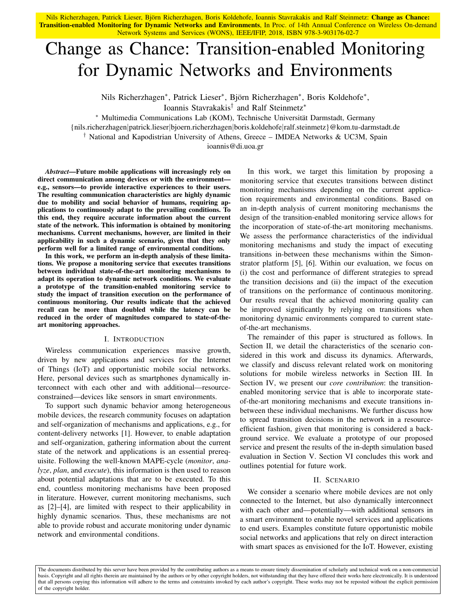# Change as Chance: Transition-enabled Monitoring for Dynamic Networks and Environments

Nils Richerzhagen<sup>∗</sup> , Patrick Lieser<sup>∗</sup> , Björn Richerzhagen<sup>∗</sup> , Boris Koldehofe<sup>∗</sup> ,

Ioannis Stavrakakis† and Ralf Steinmetz<sup>∗</sup>

<sup>∗</sup> Multimedia Communications Lab (KOM), Technische Universität Darmstadt, Germany

{nils.richerzhagen|patrick.lieser|bjoern.richerzhagen|boris.koldehofe|ralf.steinmetz}@kom.tu-darmstadt.de

† National and Kapodistrian University of Athens, Greece – IMDEA Networks & UC3M, Spain

ioannis@di.uoa.gr

*Abstract*—Future mobile applications will increasingly rely on direct communication among devices or with the environment e.g., sensors—to provide interactive experiences to their users. The resulting communication characteristics are highly dynamic due to mobility and social behavior of humans, requiring applications to continuously adapt to the prevailing conditions. To this end, they require accurate information about the current state of the network. This information is obtained by monitoring mechanisms. Current mechanisms, however, are limited in their applicability in such a dynamic scenario, given that they only perform well for a limited range of environmental conditions.

In this work, we perform an in-depth analysis of these limitations. We propose a monitoring service that executes transitions between individual state-of-the-art monitoring mechanisms to adapt its operation to dynamic network conditions. We evaluate a prototype of the transition-enabled monitoring service to study the impact of transition execution on the performance of continuous monitoring. Our results indicate that the achieved recall can be more than doubled while the latency can be reduced in the order of magnitudes compared to state-of-theart monitoring approaches.

# I. INTRODUCTION

Wireless communication experiences massive growth, driven by new applications and services for the Internet of Things (IoT) and opportunistic mobile social networks. Here, personal devices such as smartphones dynamically interconnect with each other and with additional—resourceconstrained—devices like sensors in smart environments.

To support such dynamic behavior among heterogeneous mobile devices, the research community focuses on adaptation and self-organization of mechanisms and applications, e.g., for content-delivery networks [1]. However, to enable adaptation and self-organization, gathering information about the current state of the network and applications is an essential prerequisite. Following the well-known MAPE-cycle (*monitor*, *analyze*, *plan*, and *execute*), this information is then used to reason about potential adaptations that are to be executed. To this end, countless monitoring mechanisms have been proposed in literature. However, current monitoring mechanisms, such as [2]–[4], are limited with respect to their applicability in highly dynamic scenarios. Thus, these mechanisms are not able to provide robust and accurate monitoring under dynamic network and environmental conditions.

In this work, we target this limitation by proposing a monitoring service that executes transitions between distinct monitoring mechanisms depending on the current application requirements and environmental conditions. Based on an in-depth analysis of current monitoring mechanisms the design of the transition-enabled monitoring service allows for the incorporation of state-of-the-art monitoring mechanisms. We assess the performance characteristics of the individual monitoring mechanisms and study the impact of executing transitions in-between these mechanisms within the Simonstrator platform [5], [6]. Within our evaluation, we focus on (i) the cost and performance of different strategies to spread the transition decisions and (ii) the impact of the execution of transitions on the performance of continuous monitoring. Our results reveal that the achieved monitoring quality can be improved significantly by relying on transitions when monitoring dynamic environments compared to current stateof-the-art mechanisms.

The remainder of this paper is structured as follows. In Section II, we detail the characteristics of the scenario considered in this work and discuss its dynamics. Afterwards, we classify and discuss relevant related work on monitoring solutions for mobile wireless networks in Section III. In Section IV, we present our *core contribution*: the transitionenabled monitoring service that is able to incorporate stateof-the-art monitoring mechanisms and execute transitions inbetween these individual mechanisms. We further discuss how to spread transition decisions in the network in a resourceefficient fashion, given that monitoring is considered a background service. We evaluate a prototype of our proposed service and present the results of the in-depth simulation based evaluation in Section V. Section VI concludes this work and outlines potential for future work.

## II. SCENARIO

We consider a scenario where mobile devices are not only connected to the Internet, but also dynamically interconnect with each other and—potentially—with additional sensors in a smart environment to enable novel services and applications to end users. Examples constitute future opportunistic mobile social networks and applications that rely on direct interaction with smart spaces as envisioned for the IoT. However, existing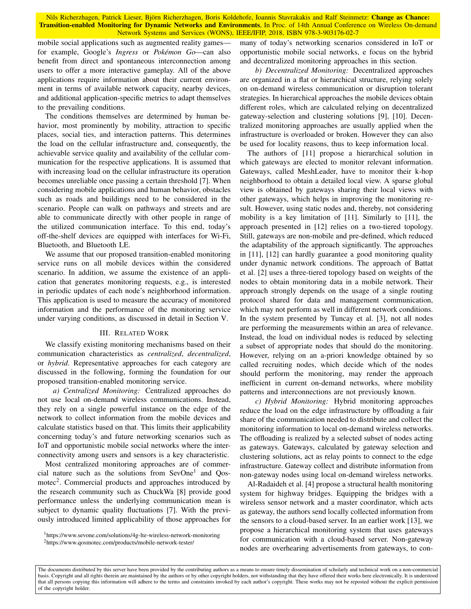mobile social applications such as augmented reality games for example, Google's *Ingress* or *Pokémon Go*—can also benefit from direct and spontaneous interconnection among users to offer a more interactive gameplay. All of the above applications require information about their current environment in terms of available network capacity, nearby devices, and additional application-specific metrics to adapt themselves to the prevailing conditions.

The conditions themselves are determined by human behavior, most prominently by mobility, attraction to specific places, social ties, and interaction patterns. This determines the load on the cellular infrastructure and, consequently, the achievable service quality and availability of the cellular communication for the respective applications. It is assumed that with increasing load on the cellular infrastructure its operation becomes unreliable once passing a certain threshold [7]. When considering mobile applications and human behavior, obstacles such as roads and buildings need to be considered in the scenario. People can walk on pathways and streets and are able to communicate directly with other people in range of the utilized communication interface. To this end, today's off-the-shelf devices are equipped with interfaces for Wi-Fi, Bluetooth, and Bluetooth LE.

We assume that our proposed transition-enabled monitoring service runs on all mobile devices within the considered scenario. In addition, we assume the existence of an application that generates monitoring requests, e.g., is interested in periodic updates of each node's neighborhood information. This application is used to measure the accuracy of monitored information and the performance of the monitoring service under varying conditions, as discussed in detail in Section V.

## III. RELATED WORK

We classify existing monitoring mechanisms based on their communication characteristics as *centralized*, *decentralized*, or *hybrid*. Representative approaches for each category are discussed in the following, forming the foundation for our proposed transition-enabled monitoring service.

*a) Centralized Monitoring:* Centralized approaches do not use local on-demand wireless communications. Instead, they rely on a single powerful instance on the edge of the network to collect information from the mobile devices and calculate statistics based on that. This limits their applicability concerning today's and future networking scenarios such as IoT and opportunistic mobile social networks where the interconnectivity among users and sensors is a key characteristic.

Most centralized monitoring approaches are of commercial nature such as the solutions from SevOne<sup>1</sup> and Qosmotec<sup>2</sup>. Commercial products and approaches introduced by the research community such as ChuckWa [8] provide good performance unless the underlying communication mean is subject to dynamic quality fluctuations [7]. With the previously introduced limited applicability of those approaches for many of today's networking scenarios considered in IoT or opportunistic mobile social networks, e focus on the hybrid and decentralized monitoring approaches in this section.

*b) Decentralized Monitoring:* Decentralized approaches are organized in a flat or hierarchical structure, relying solely on on-demand wireless communication or disruption tolerant strategies. In hierarchical approaches the mobile devices obtain different roles, which are calculated relying on decentralized gateway-selection and clustering solutions [9], [10]. Decentralized monitoring approaches are usually applied when the infrastructure is overloaded or broken. However they can also be used for locality reasons, thus to keep information local.

The authors of [11] propose a hierarchical solution in which gateways are elected to monitor relevant information. Gateways, called MeshLeader, have to monitor their k-hop neighborhood to obtain a detailed local view. A sparse global view is obtained by gateways sharing their local views with other gateways, which helps in improving the monitoring result. However, using static nodes and, thereby, not considering mobility is a key limitation of [11]. Similarly to [11], the approach presented in [12] relies on a two-tiered topology. Still, gateways are non-mobile and pre-defined, which reduced the adaptability of the approach significantly. The approaches in [11], [12] can hardly guarantee a good monitoring quality under dynamic network conditions. The approach of Battat et al. [2] uses a three-tiered topology based on weights of the nodes to obtain monitoring data in a mobile network. Their approach strongly depends on the usage of a single routing protocol shared for data and management communication, which may not perform as well in different network conditions. In the system presented by Tuncay et al. [3], not all nodes are performing the measurements within an area of relevance. Instead, the load on individual nodes is reduced by selecting a subset of appropriate nodes that should do the monitoring. However, relying on an a-priori knowledge obtained by so called recruiting nodes, which decide which of the nodes should perform the monitoring, may render the approach inefficient in current on-demand networks, where mobility patterns and interconnections are not previously known.

*c) Hybrid Monitoring:* Hybrid monitoring approaches reduce the load on the edge infrastructure by offloading a fair share of the communication needed to distribute and collect the monitoring information to local on-demand wireless networks. The offloading is realized by a selected subset of nodes acting as gateways. Gateways, calculated by gateway selection and clustering solutions, act as relay points to connect to the edge infrastructure. Gateway collect and distribute information from non-gateway nodes using local on-demand wireless networks.

Al-Radaideh et al. [4] propose a structural health monitoring system for highway bridges. Equipping the bridges with a wireless sensor network and a master coordinator, which acts as gateway, the authors send locally collected information from the sensors to a cloud-based server. In an earlier work [13], we propose a hierarchical monitoring system that uses gateways for communication with a cloud-based server. Non-gateway nodes are overhearing advertisements from gateways, to con-

<sup>1</sup>https://www.sevone.com/solutions/4g-lte-wireless-network-monitoring

<sup>2</sup>https://www.qosmotec.com/products/mobile-network-tester/

The documents distributed by this server have been provided by the contributing authors as a means to ensure timely dissemination of scholarly and technical work on a non-commercial basis. Copyright and all rights therein are maintained by the authors or by other copyright holders, not withstanding that they have offered their works here electronically. It is understood that all persons copying this information will adhere to the terms and constraints invoked by each author's copyright. These works may not be reposted without the explicit permission of the copyright holder.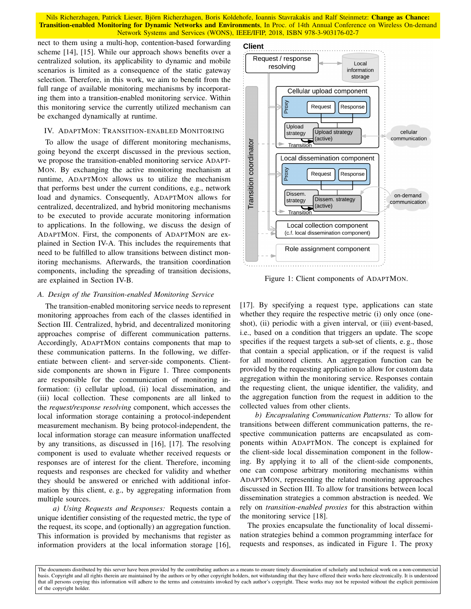nect to them using a multi-hop, contention-based forwarding scheme [14], [15]. While our approach shows benefits over a centralized solution, its applicability to dynamic and mobile scenarios is limited as a consequence of the static gateway selection. Therefore, in this work, we aim to benefit from the full range of available monitoring mechanisms by incorporating them into a transition-enabled monitoring service. Within this monitoring service the currently utilized mechanism can be exchanged dynamically at runtime.

# IV. ADAPTMON: TRANSITION-ENABLED MONITORING

To allow the usage of different monitoring mechanisms, going beyond the excerpt discussed in the previous section, we propose the transition-enabled monitoring service ADAPT-MON. By exchanging the active monitoring mechanism at runtime, ADAPTMON allows us to utilize the mechanism that performs best under the current conditions, e.g., network load and dynamics. Consequently, ADAPTMON allows for centralized, decentralized, and hybrid monitoring mechanisms to be executed to provide accurate monitoring information to applications. In the following, we discuss the design of ADAPTMON. First, the components of ADAPTMON are explained in Section IV-A. This includes the requirements that need to be fulfilled to allow transitions between distinct monitoring mechanisms. Afterwards, the transition coordination components, including the spreading of transition decisions, are explained in Section IV-B.

#### *A. Design of the Transition-enabled Monitoring Service*

The transition-enabled monitoring service needs to represent monitoring approaches from each of the classes identified in Section III. Centralized, hybrid, and decentralized monitoring approaches comprise of different communication patterns. Accordingly, ADAPTMON contains components that map to these communication patterns. In the following, we differentiate between client- and server-side components. Clientside components are shown in Figure 1. Three components are responsible for the communication of monitoring information: (i) cellular upload, (ii) local dissemination, and (iii) local collection. These components are all linked to the *request/response resolving* component, which accesses the local information storage containing a protocol-independent measurement mechanism. By being protocol-independent, the local information storage can measure information unaffected by any transitions, as discussed in [16], [17]. The resolving component is used to evaluate whether received requests or responses are of interest for the client. Therefore, incoming requests and responses are checked for validity and whether they should be answered or enriched with additional information by this client, e. g., by aggregating information from multiple sources.

*a) Using Requests and Responses:* Requests contain a unique identifier consisting of the requested metric, the type of the request, its scope, and (optionally) an aggregation function. This information is provided by mechanisms that register as information providers at the local information storage [16],

#### **Client**



Figure 1: Client components of ADAPTMON.

[17]. By specifying a request type, applications can state whether they require the respective metric (i) only once (oneshot), (ii) periodic with a given interval, or (iii) event-based, i.e., based on a condition that triggers an update. The scope specifies if the request targets a sub-set of clients, e. g., those that contain a special application, or if the request is valid for all monitored clients. An aggregation function can be provided by the requesting application to allow for custom data aggregation within the monitoring service. Responses contain the requesting client, the unique identifier, the validity, and the aggregation function from the request in addition to the collected values from other clients.

*b) Encapsulating Communication Patterns:* To allow for transitions between different communication patterns, the respective communication patterns are encapsulated as components within ADAPTMON. The concept is explained for the client-side local dissemination component in the following. By applying it to all of the client-side components, one can compose arbitrary monitoring mechanisms within ADAPTMON, representing the related monitoring approaches discussed in Section III. To allow for transitions between local dissemination strategies a common abstraction is needed. We rely on *transition-enabled proxies* for this abstraction within the monitoring service [18].

The proxies encapsulate the functionality of local dissemination strategies behind a common programming interface for requests and responses, as indicated in Figure 1. The proxy

The documents distributed by this server have been provided by the contributing authors as a means to ensure timely dissemination of scholarly and technical work on a non-commercial basis. Copyright and all rights therein are maintained by the authors or by other copyright holders, not withstanding that they have offered their works here electronically. It is understood that all persons copying this information will adhere to the terms and constraints invoked by each author's copyright. These works may not be reposted without the explicit permission of the copyright holder.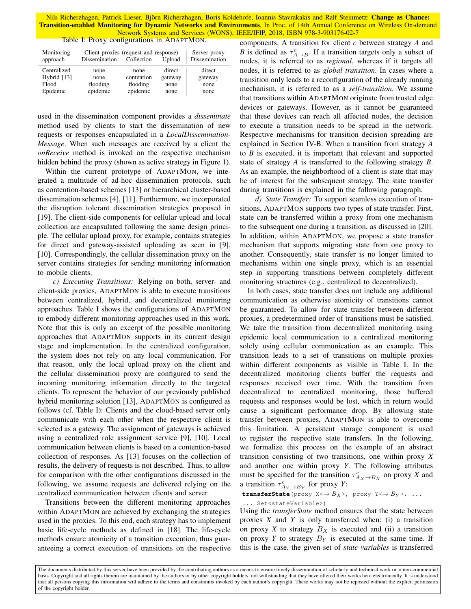Table I: Proxy configurations in ADAPTMON.

| Monitoring                                      | Client proxies (request and response) |                                            |                                   | Server proxy                      |
|-------------------------------------------------|---------------------------------------|--------------------------------------------|-----------------------------------|-----------------------------------|
| approach                                        | Dissemination                         | Collection                                 | Upload                            | Dissemination                     |
| Centralized<br>Hybrid [13]<br>Flood<br>Epidemic | none<br>none<br>flooding<br>epidemic  | none<br>contention<br>flooding<br>epidemic | direct<br>gateway<br>none<br>none | direct<br>gateway<br>none<br>none |

used in the dissemination component provides a *disseminate* method used by clients to start the dissemination of new requests or responses encapsulated in a *LocalDissemination-Message*. When such messages are received by a client the *onReceive* method is invoked on the respective mechanism hidden behind the proxy (shown as active strategy in Figure 1).

Within the current prototype of ADAPTMON, we integrated a multitude of ad-hoc dissemination protocols, such as contention-based schemes [13] or hierarchical cluster-based dissemination schemes [4], [11]. Furthermore, we incorporated the disruption tolerant dissemination strategies proposed in [19]. The client-side components for cellular upload and local collection are encapsulated following the same design principle. The cellular upload proxy, for example, contains strategies for direct and gateway-assisted uploading as seen in [9], [10]. Correspondingly, the cellular dissemination proxy on the server contains strategies for sending monitoring information to mobile clients.

*c) Executing Transitions:* Relying on both, server- and client-side proxies, ADAPTMON is able to execute transitions between centralized, hybrid, and decentralized monitoring approaches. Table I shows the configurations of ADAPTMON to embody different monitoring approaches used in this work. Note that this is only an excerpt of the possible monitoring approaches that ADAPTMON supports in its current design stage and implementation. In the centralized configuration, the system does not rely on any local communication. For that reason, only the local upload proxy on the client and the cellular dissemination proxy are configured to send the incoming monitoring information directly to the targeted clients. To represent the behavior of our previously published hybrid monitoring solution [13], ADAPTMON is configured as follows (cf. Table I): Clients and the cloud-based server only communicate with each other when the respective client is selected as a gateway. The assignment of gateways is achieved using a centralized role assignment service [9], [10]. Local communication between clients is based on a contention-based collection of responses. As [13] focuses on the collection of results, the delivery of requests is not described. Thus, to allow for comparison with the other configurations discussed in the following, we assume requests are delivered relying on the centralized communication between clients and server.

Transitions between the different monitoring approaches within ADAPTMON are achieved by exchanging the strategies used in the proxies. To this end, each strategy has to implement basic life-cycle methods as defined in [18]. The life-cycle methods ensure atomicity of a transition execution, thus guaranteeing a correct execution of transitions on the respective components. A transition for client *c* between strategy *A* and *B* is defined as  $\tau_{A\rightarrow B}^c$ . If a transition targets only a subset of nodes, it is referred to as *regional*, whereas if it targets all nodes, it is referred to as *global transition*. In cases where a transition only leads to a reconfiguration of the already running mechanism, it is referred to as a *self-transition*. We assume that transitions within ADAPTMON originate from trusted edge devices or gateways. However, as it cannot be guaranteed that these devices can reach all affected nodes, the decision to execute a transition needs to be spread in the network. Respective mechanisms for transition decision spreading are explained in Section IV-B. When a transition from strategy *A* to *B* is executed, it is important that relevant and supported state of strategy *A* is transferred to the following strategy *B*. As an example, the neighborhood of a client is state that may be of interest for the subsequent strategy. The state transfer during transitions is explained in the following paragraph.

*d) State Transfer:* To support seamless execution of transitions, ADAPTMON supports two types of state transfer. First, state can be transferred within a proxy from one mechanism to the subsequent one during a transition, as discussed in [20]. In addition, within ADAPTMON, we propose a state transfer mechanism that supports migrating state from one proxy to another. Consequently, state transfer is no longer limited to mechanisms within one single proxy, which is an essential step in supporting transitions between completely different monitoring structures (e.g., centralized to decentralized).

In both cases, state transfer does not include any additional communication as otherwise atomicity of transitions cannot be guaranteed. To allow for state transfer between different proxies, a predetermined order of transitions must be satisfied. We take the transition from decentralized monitoring using epidemic local communication to a centralized monitoring solely using cellular communication as an example. This transition leads to a set of transitions on multiple proxies within different components as visible in Table I. In the decentralized monitoring clients buffer the requests and responses received over time. With the transition from decentralized to centralized monitoring, those buffered requests and responses would be lost, which in return would cause a significant performance drop. By allowing state transfer between proxies, ADAPTMON is able to overcome this limitation. A persistent storage component is used to register the respective state transfers. In the following, we formalize this process on the example of an abstract transition consisting of two transitions, one within proxy *X* and another one within proxy *Y*. The following attributes must be specified for the transition  $\tau_{A_X \to B_X}^c$  on proxy *X* and a transition  $\tau_{A_Y \to B_Y}^c$  for proxy *Y*:

**transferState**(proxy  $X \leftrightarrow B_X$ ), proxy  $Y \leftrightarrow B_Y$ ), ...

... Set<stateVariable>)

Using the *transferState* method ensures that the state between proxies *X* and *Y* is only transferred when: (i) a transition on proxy X to strategy  $B_X$  is executed and (ii) a transition on proxy *Y* to strategy  $B_Y$  is executed at the same time. If this is the case, the given set of *state variables* is transferred

The documents distributed by this server have been provided by the contributing authors as a means to ensure timely dissemination of scholarly and technical work on a non-commercial basis. Copyright and all rights therein are maintained by the authors or by other copyright holders, not withstanding that they have offered their works here electronically. It is understood that all persons copying this information will adhere to the terms and constraints invoked by each author's copyright. These works may not be reposted without the explicit permission of the copyright holder.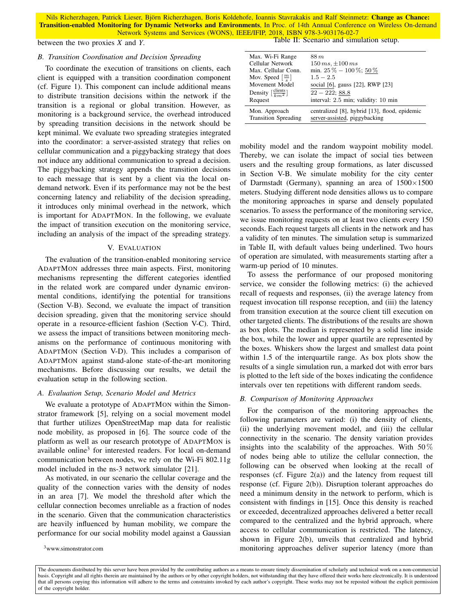between the two proxies *X* and *Y*.

# *B. Transition Coordination and Decision Spreading*

To coordinate the execution of transitions on clients, each client is equipped with a transition coordination component (cf. Figure 1). This component can include additional means to distribute transition decisions within the network if the transition is a regional or global transition. However, as monitoring is a background service, the overhead introduced by spreading transition decisions in the network should be kept minimal. We evaluate two spreading strategies integrated into the coordinator: a server-assisted strategy that relies on cellular communication and a piggybacking strategy that does not induce any additional communication to spread a decision. The piggybacking strategy appends the transition decisions to each message that is sent by a client via the local ondemand network. Even if its performance may not be the best concerning latency and reliability of the decision spreading, it introduces only minimal overhead in the network, which is important for ADAPTMON. In the following, we evaluate the impact of transition execution on the monitoring service, including an analysis of the impact of the spreading strategy.

## V. EVALUATION

The evaluation of the transition-enabled monitoring service ADAPTMON addresses three main aspects. First, monitoring mechanisms representing the different categories identfied in the related work are compared under dynamic environmental conditions, identifying the potential for transitions (Section V-B). Second, we evaluate the impact of transition decision spreading, given that the monitoring service should operate in a resource-efficient fashion (Section V-C). Third, we assess the impact of transitions between monitoring mechanisms on the performance of continuous monitoring with ADAPTMON (Section V-D). This includes a comparison of ADAPTMON against stand-alone state-of-the-art monitoring mechanisms. Before discussing our results, we detail the evaluation setup in the following section.

## *A. Evaluation Setup, Scenario Model and Metrics*

We evaluate a prototype of ADAPTMON within the Simonstrator framework [5], relying on a social movement model that further utilizes OpenStreetMap map data for realistic node mobility, as proposed in [6]. The source code of the platform as well as our research prototype of ADAPTMON is available online<sup>3</sup> for interested readers. For local on-demand communication between nodes, we rely on the Wi-Fi 802.11g model included in the ns-3 network simulator [21].

As motivated, in our scenario the cellular coverage and the quality of the connection varies with the density of nodes in an area [7]. We model the threshold after which the cellular connection becomes unreliable as a fraction of nodes in the scenario. Given that the communication characteristics are heavily influenced by human mobility, we compare the performance for our social mobility model against a Gaussian

<sup>3</sup>www.simonstrator.com

Table II: Scenario and simulation setup.

| Max. Wi-Fi Range<br>Cellular Network               | 88 m<br>$150 \, ms, \pm 100 \, ms$                                             |
|----------------------------------------------------|--------------------------------------------------------------------------------|
| Max. Cellular Conn.                                | min. $25\% - 100\%$ ; 50 %                                                     |
| Mov. Speed $\left[\frac{m}{s}\right]$              | $1.5 - 2.5$                                                                    |
| Movement Model                                     | social [6], gauss [22], RWP [23]                                               |
| Density $\left[\frac{\text{clients}}{km^2}\right]$ | $22 - 222$ ; 88.8                                                              |
| Request                                            | interval: 2.5 min; validity: 10 min                                            |
| Mon. Approach<br><b>Transition Spreading</b>       | centralized [8], hybrid [13], flood, epidemic<br>server-assisted, piggybacking |

mobility model and the random waypoint mobility model. Thereby, we can isolate the impact of social ties between users and the resulting group formations, as later discussed in Section V-B. We simulate mobility for the city center of Darmstadt (Germany), spanning an area of  $1500 \times 1500$ meters. Studying different node densities allows us to compare the monitoring approaches in sparse and densely populated scenarios. To assess the performance of the monitoring service, we issue monitoring requests on at least two clients every 150 seconds. Each request targets all clients in the network and has a validity of ten minutes. The simulation setup is summarized in Table II, with default values being underlined. Two hours of operation are simulated, with measurements starting after a warm-up period of 10 minutes.

To assess the performance of our proposed monitoring service, we consider the following metrics: (i) the achieved recall of requests and responses, (ii) the average latency from request invocation till response reception, and (iii) the latency from transition execution at the source client till execution on other targeted clients. The distributions of the results are shown as box plots. The median is represented by a solid line inside the box, while the lower and upper quartile are represented by the boxes. Whiskers show the largest and smallest data point within 1.5 of the interquartile range. As box plots show the results of a single simulation run, a marked dot with error bars is plotted to the left side of the boxes indicating the confidence intervals over ten repetitions with different random seeds.

## *B. Comparison of Monitoring Approaches*

For the comparison of the monitoring approaches the following parameters are varied: (i) the density of clients, (ii) the underlying movement model, and (iii) the cellular connectivity in the scenario. The density variation provides insights into the scalability of the approaches. With  $50\%$ of nodes being able to utilize the cellular connection, the following can be observed when looking at the recall of responses (cf. Figure 2(a)) and the latency from request till response (cf. Figure 2(b)). Disruption tolerant approaches do need a minimum density in the network to perform, which is consistent with findings in [15]. Once this density is reached or exceeded, decentralized approaches delivered a better recall compared to the centralized and the hybrid approach, where access to cellular communication is restricted. The latency, shown in Figure 2(b), unveils that centralized and hybrid monitoring approaches deliver superior latency (more than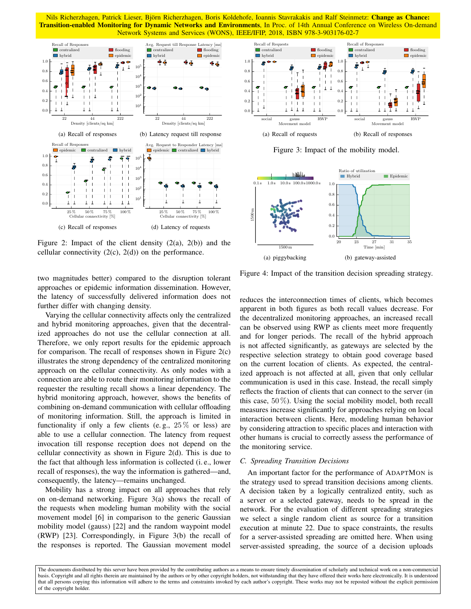

Figure 2: Impact of the client density  $(2(a), 2(b))$  and the cellular connectivity  $(2(c), 2(d))$  on the performance.



Figure 3: Impact of the mobility model.



two magnitudes better) compared to the disruption tolerant approaches or epidemic information dissemination. However, the latency of successfully delivered information does not further differ with changing density.

Varying the cellular connectivity affects only the centralized and hybrid monitoring approaches, given that the decentralized approaches do not use the cellular connection at all. Therefore, we only report results for the epidemic approach for comparison. The recall of responses shown in Figure  $2(c)$ illustrates the strong dependency of the centralized monitoring approach on the cellular connectivity. As only nodes with a connection are able to route their monitoring information to the requester the resulting recall shows a linear dependency. The hybrid monitoring approach, however, shows the benefits of combining on-demand communication with cellular offloading of monitoring information. Still, the approach is limited in functionality if only a few clients (e.g.,  $25\%$  or less) are able to use a cellular connection. The latency from request invocation till response reception does not depend on the cellular connectivity as shown in Figure 2(d). This is due to the fact that although less information is collected (i. e., lower recall of responses), the way the information is gathered—and, consequently, the latency—remains unchanged.

Mobility has a strong impact on all approaches that rely on on-demand networking. Figure 3(a) shows the recall of the requests when modeling human mobility with the social movement model [6] in comparison to the generic Gaussian mobility model (gauss) [22] and the random waypoint model (RWP) [23]. Correspondingly, in Figure 3(b) the recall of the responses is reported. The Gaussian movement model

Figure 4: Impact of the transition decision spreading strategy.

reduces the interconnection times of clients, which becomes apparent in both figures as both recall values decrease. For the decentralized monitoring approaches, an increased recall can be observed using RWP as clients meet more frequently and for longer periods. The recall of the hybrid approach is not affected significantly, as gateways are selected by the respective selection strategy to obtain good coverage based on the current location of clients. As expected, the centralized approach is not affected at all, given that only cellular communication is used in this case. Instead, the recall simply reflects the fraction of clients that can connect to the server (in this case, 50 %). Using the social mobility model, both recall measures increase significantly for approaches relying on local interaction between clients. Here, modeling human behavior by considering attraction to specific places and interaction with other humans is crucial to correctly assess the performance of the monitoring service.

# *C. Spreading Transition Decisions*

An important factor for the performance of ADAPTMON is the strategy used to spread transition decisions among clients. A decision taken by a logically centralized entity, such as a server or a selected gateway, needs to be spread in the network. For the evaluation of different spreading strategies we select a single random client as source for a transition execution at minute 22. Due to space constraints, the results for a server-assisted spreading are omitted here. When using server-assisted spreading, the source of a decision uploads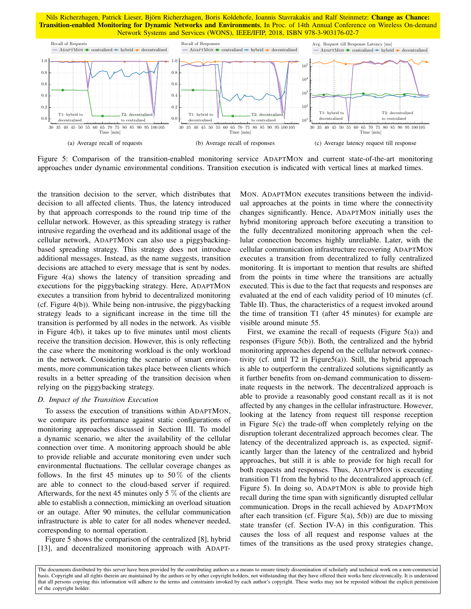

Figure 5: Comparison of the transition-enabled monitoring service ADAPTMON and current state-of-the-art monitoring approaches under dynamic environmental conditions. Transition execution is indicated with vertical lines at marked times.

the transition decision to the server, which distributes that decision to all affected clients. Thus, the latency introduced by that approach corresponds to the round trip time of the cellular network. However, as this spreading strategy is rather intrusive regarding the overhead and its additional usage of the cellular network, ADAPTMON can also use a piggybackingbased spreading strategy. This strategy does not introduce additional messages. Instead, as the name suggests, transition decisions are attached to every message that is sent by nodes. Figure 4(a) shows the latency of transition spreading and executions for the piggybacking strategy. Here, ADAPTMON executes a transition from hybrid to decentralized monitoring (cf. Figure 4(b)). While being non-intrusive, the piggybacking strategy leads to a significant increase in the time till the transition is performed by all nodes in the network. As visible in Figure 4(b), it takes up to five minutes until most clients receive the transition decision. However, this is only reflecting the case where the monitoring workload is the only workload in the network. Considering the scenario of smart environments, more communication takes place between clients which results in a better spreading of the transition decision when relying on the piggybacking strategy.

#### *D. Impact of the Transition Execution*

To assess the execution of transitions within ADAPTMON, we compare its performance against static configurations of monitoring approaches discussed in Section III. To model a dynamic scenario, we alter the availability of the cellular connection over time. A monitoring approach should be able to provide reliable and accurate monitoring even under such environmental fluctuations. The cellular coverage changes as follows. In the first 45 minutes up to 50% of the clients are able to connect to the cloud-based server if required. Afterwards, for the next 45 minutes only 5  $\%$  of the clients are able to establish a connection, mimicking an overload situation or an outage. After 90 minutes, the cellular communication infrastructure is able to cater for all nodes whenever needed, corresponding to normal operation.

Figure 5 shows the comparison of the centralized [8], hybrid [13], and decentralized monitoring approach with ADAPT-

MON. ADAPTMON executes transitions between the individual approaches at the points in time where the connectivity changes significantly. Hence, ADAPTMON initially uses the hybrid monitoring approach before executing a transition to the fully decentralized monitoring approach when the cellular connection becomes highly unreliable. Later, with the cellular communication infrastructure recovering ADAPTMON executes a transition from decentralized to fully centralized monitoring. It is important to mention that results are shifted from the points in time where the transitions are actually executed. This is due to the fact that requests and responses are evaluated at the end of each validity period of 10 minutes (cf. Table II). Thus, the characteristics of a request invoked around the time of transition T1 (after 45 minutes) for example are visible around minute 55.

First, we examine the recall of requests (Figure  $5(a)$ ) and responses (Figure 5(b)). Both, the centralized and the hybrid monitoring approaches depend on the cellular network connectivity (cf. until T2 in Figure5(a)). Still, the hybrid approach is able to outperform the centralized solutions significantly as it further benefits from on-demand communication to disseminate requests in the network. The decentralized approach is able to provide a reasonably good constant recall as it is not affected by any changes in the cellular infrastructure. However, looking at the latency from request till response reception in Figure 5(c) the trade-off when completely relying on the disruption tolerant decentralized approach becomes clear. The latency of the decentralized approach is, as expected, significantly larger than the latency of the centralized and hybrid approaches, but still it is able to provide for high recall for both requests and responses. Thus, ADAPTMON is executing transition T1 from the hybrid to the decentralized approach (cf. Figure 5). In doing so, ADAPTMON is able to provide high recall during the time span with significantly disrupted cellular communication. Drops in the recall achieved by ADAPTMON after each transition (cf. Figure  $5(a)$ ,  $5(b)$ ) are due to missing state transfer (cf. Section IV-A) in this configuration. This causes the loss of all request and response values at the times of the transitions as the used proxy strategies change,

The documents distributed by this server have been provided by the contributing authors as a means to ensure timely dissemination of scholarly and technical work on a non-commercial basis. Copyright and all rights therein are maintained by the authors or by other copyright holders, not withstanding that they have offered their works here electronically. It is understood that all persons copying this information will adhere to the terms and constraints invoked by each author's copyright. These works may not be reposted without the explicit permission of the copyright holder.